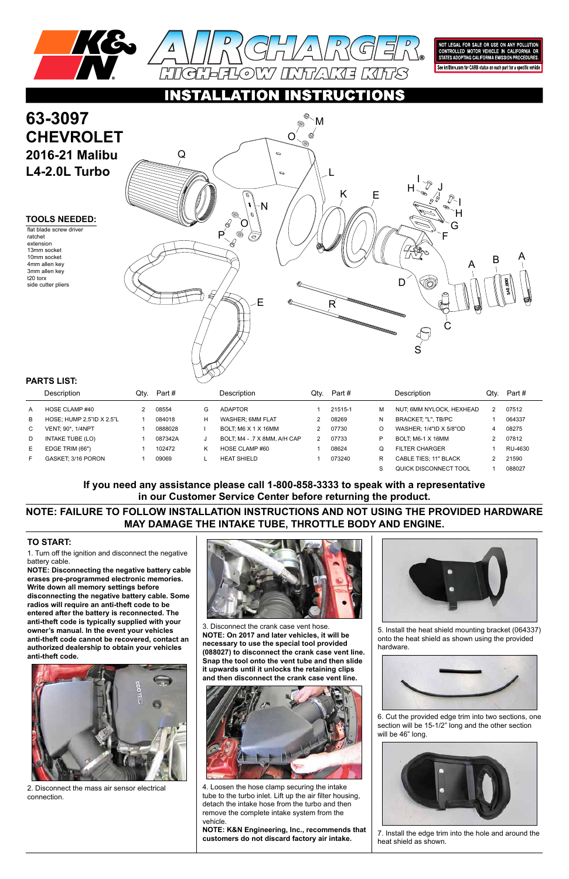



NOT LEGAL FOR SALE OR USE ON ANY POLLUTION<br>CONTROLLED MOTOR VEHICLE IN CALIFORNIA OR<br>STATES ADOPTING CALIFORNIA EMISSION PROCEDURES.

See knfilters.com for CARB status on each part for a specific vehicle

CTIONS

1. Turn off the ignition and disconnect the negative battery cable.

**NOTE: Disconnecting the negative battery cable erases pre-programmed electronic memories. Write down all memory settings before disconnecting the negative battery cable. Some radios will require an anti-theft code to be entered after the battery is reconnected. The anti-theft code is typically supplied with your owner's manual. In the event your vehicles anti-theft code cannot be recovered, contact an authorized dealership to obtain your vehicles anti-theft code.**

# **63-3097 CHEVROLET 2016-21 Malibu L4-2.0L Turbo**

#### **TO START:**

#### **TOOLS NEEDED:**

flat blade screw driver ratchet extension 13mm socket 10mm socket 4mm allen key 3mm allen key t20 torx side cutter pliers

**NOTE: FAILURE TO FOLLOW INSTALLATION INSTRUCTIONS AND NOT USING THE PROVIDED HARDWARE MAY DAMAGE THE INTAKE TUBE, THROTTLE BODY AND ENGINE.**

**If you need any assistance please call 1-800-858-3333 to speak with a representative in our Customer Service Center before returning the product.**

|   | Description               | Qtv. | Part #  |   | <b>Description</b>           | Qtv. | Part #  |   | <b>Description</b>       | Qtv. | Part #  |
|---|---------------------------|------|---------|---|------------------------------|------|---------|---|--------------------------|------|---------|
| A | HOSE CLAMP #40            |      | 08554   | G | <b>ADAPTOR</b>               |      | 21515-1 | м | NUT, 6MM NYLOCK, HEXHEAD |      | 07512   |
| B | HOSE; HUMP 2.5"ID X 2.5"L |      | 084018  | H | WASHER: 6MM FLAT             |      | 08269   | N | BRACKET. "L". TB/PC      |      | 064337  |
| C | <b>VENT: 90*, 1/4NPT</b>  |      | 0888028 |   | BOLT: M6 X 1 X 16MM          |      | 07730   | O | WASHER: 1/4"ID X 5/8"OD  |      | 08275   |
| D | INTAKE TUBE (LO)          |      | 087342A | J | BOLT, M4 - .7 X 8MM, A/H CAP |      | 07733   | P | BOLT: M6-1 X 16MM        |      | 07812   |
| Е | EDGE TRIM (66")           |      | 102472  |   | HOSE CLAMP #60               |      | 08624   | Q | <b>FILTER CHARGER</b>    |      | RU-4630 |
|   | GASKET: 3/16 PORON        |      | 09069   |   | <b>HEAT SHIELD</b>           |      | 073240  | R | CABLE TIES; 11" BLACK    |      | 21590   |
|   |                           |      |         |   |                              |      |         |   | QUICK DISCONNECT TOOL    |      | 088027  |

#### **PARTS LIST:**



2. Disconnect the mass air sensor electrical connection.



3. Disconnect the crank case vent hose. **NOTE: On 2017 and later vehicles, it will be necessary to use the special tool provided** 

**(088027) to disconnect the crank case vent line. Snap the tool onto the vent tube and then slide it upwards until it unlocks the retaining clips and then disconnect the crank case vent line.**



4. Loosen the hose clamp securing the intake tube to the turbo inlet. Lift up the air filter housing, detach the intake hose from the turbo and then remove the complete intake system from the vehicle.

**NOTE: K&N Engineering, Inc., recommends that customers do not discard factory air intake.**



5. Install the heat shield mounting bracket (064337) onto the heat shield as shown using the provided

hardware.



6. Cut the provided edge trim into two sections, one section will be 15-1/2" long and the other section will be 46" long.



7. Install the edge trim into the hole and around the heat shield as shown.